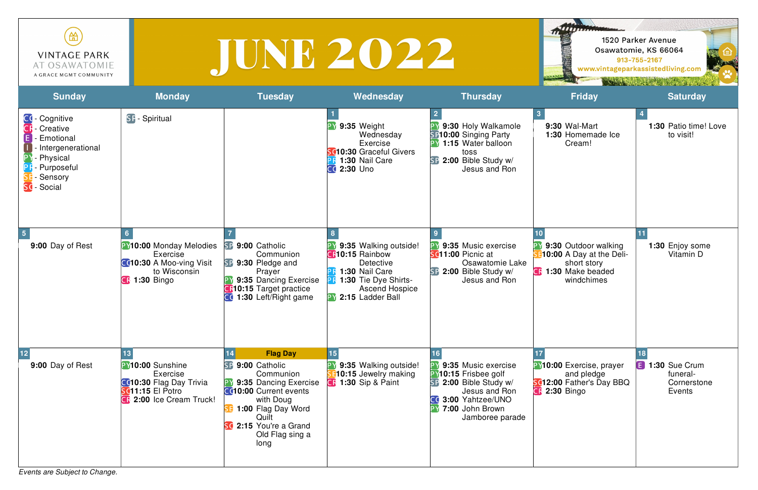*Events are Subject to Change.*

| ₩<br><b>VINTAGE PARK</b><br>AT OSAWATOMIE<br>A GRACE MGMT COMMUNITY                                     |                     |                |                                                                        |                                                                                         |              |  |
|---------------------------------------------------------------------------------------------------------|---------------------|----------------|------------------------------------------------------------------------|-----------------------------------------------------------------------------------------|--------------|--|
| <b>Sunday</b>                                                                                           | <b>Monday</b>       | <b>Tuesday</b> | Wednesday                                                              | <b>Thursday</b>                                                                         |              |  |
| CC- Cognitive<br><b>CF</b> - Creative<br>E.<br>- Emotional<br>$\vert \, \vert$<br>I - Intergenerational | <b>SF-Spiritual</b> |                | 9:35 Weight<br>Wednesday<br>Exercise<br><b>SG10.30</b> Cracoful Civers | 9:30 Holy Walkamole<br><b>SP10:00 Singing Party</b><br>1:15 Water balloon<br>$t \cap c$ | 9:30<br>1:30 |  |

| 笽<br><b>VINTAGE PARK</b><br>AT OSAWATOMIE<br>A GRACE MGMT COMMUNITY                                                                   |                                                                                                                       |                                                                                                                                                                                                                | IUNE 2022                                                                                                                                                               |                                                                                                                                                               | 111111111                                                                                                    | 1520 Parker Avenue<br>Osawatomie, KS 66064<br>913-755-2167<br>www.vintageparkassistedliving.com |
|---------------------------------------------------------------------------------------------------------------------------------------|-----------------------------------------------------------------------------------------------------------------------|----------------------------------------------------------------------------------------------------------------------------------------------------------------------------------------------------------------|-------------------------------------------------------------------------------------------------------------------------------------------------------------------------|---------------------------------------------------------------------------------------------------------------------------------------------------------------|--------------------------------------------------------------------------------------------------------------|-------------------------------------------------------------------------------------------------|
| <b>Sunday</b>                                                                                                                         | <b>Monday</b>                                                                                                         | <b>Tuesday</b>                                                                                                                                                                                                 | Wednesday                                                                                                                                                               | <b>Thursday</b>                                                                                                                                               | <b>Friday</b>                                                                                                | <b>Saturday</b>                                                                                 |
| CC- Cognitive<br><b>CF</b> - Creative<br>- Emotional<br>- Intergenerational<br>- Physical<br>- Purposeful<br>- Sensory<br>SC - Social | <b>SF-Spiritual</b>                                                                                                   |                                                                                                                                                                                                                | 9:35 Weight<br>Wednesday<br>Exercise<br>SC10:30 Graceful Givers<br>1:30 Nail Care<br><b>CC 2:30 Uno</b>                                                                 | 9:30 Holy Walkamole<br><b>SP10:00 Singing Party</b><br><b>PY 1:15 Water balloon</b><br>toss<br>SP 2:00 Bible Study w/<br>Jesus and Ron                        | 9:30 Wal-Mart<br>1:30 Homemade Ice<br>Cream!                                                                 | 1:30 Patio time! Love<br>to visit!                                                              |
| 9:00 Day of Rest                                                                                                                      | <b>PY10:00 Monday Melodies</b><br>Exercise<br>CC10:30 A Moo-ving Visit<br>to Wisconsin<br><b>CR 1:30 Bingo</b>        | SP 9:00 Catholic<br>Communion<br>SP 9:30 Pledge and<br>Prayer<br>9:35 Dancing Exercise<br><b>C</b> <sub>10:15</sub> Target practice<br><b>CC</b> 1:30 Left/Right game                                          | 9:35 Walking outside!<br><b>CR10:15 Rainbow</b><br>Detective<br>1:30 Nail Care<br><b>PR 1:30 Tie Dye Shirts-</b><br><b>Ascend Hospice</b><br><b>PY 2:15 Ladder Ball</b> | <b>PY 9:35 Music exercise</b><br><b>SC11:00 Picnic at</b><br>Osawatomie Lake<br>SP 2:00 Bible Study w/<br>Jesus and Ron                                       | 9:30 Outdoor walking<br>10:00 A Day at the Deli-<br>short story<br><b>C</b> : 1:30 Make beaded<br>windchimes | 1:30 Enjoy some<br>Vitamin D                                                                    |
| 9:00 Day of Rest                                                                                                                      | PY10:00 Sunshine<br>Exercise<br>CC10:30 Flag Day Trivia<br><b>SC11:15 El Potro</b><br><b>CR</b> 2:00 Ice Cream Truck! | <b>Flag Day</b><br>SP 9:00 Catholic<br>Communion<br>9:35 Dancing Exercise<br><b>CC10:00 Current events</b><br>with Doug<br>SE 1:00 Flag Day Word<br>Quilt<br>SC 2:15 You're a Grand<br>Old Flag sing a<br>long | 15<br>9:35 Walking outside!<br>10:15 Jewelry making<br><b>CF</b> 1:30 Sip & Paint                                                                                       | 9:35 Music exercise<br><b>PY10:15 Frisbee golf</b><br>SP 2:00 Bible Study w/<br>Jesus and Ron<br>CC 3:00 Yahtzee/UNO<br>PY 7:00 John Brown<br>Jamboree parade | <b>P</b> Y10:00 Exercise, prayer<br>and pledge<br><b>SC12:00 Father's Day BBQ</b><br><b>CR 2:30 Bingo</b>    | <b>E</b> 1:30 Sue Crum<br>funeral-<br>Cornerstone<br>Events                                     |